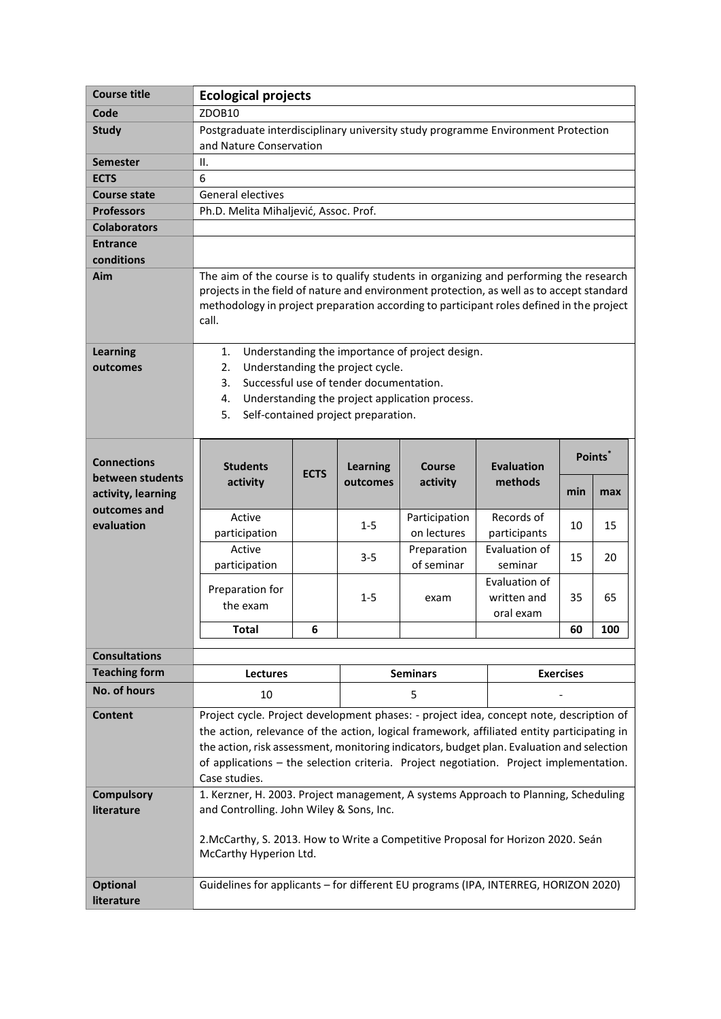| <b>Course title</b>  | <b>Ecological projects</b>                                                                                                                                                          |                                                                                        |                             |                                     |                              |     |         |  |
|----------------------|-------------------------------------------------------------------------------------------------------------------------------------------------------------------------------------|----------------------------------------------------------------------------------------|-----------------------------|-------------------------------------|------------------------------|-----|---------|--|
| Code                 | ZDOB10                                                                                                                                                                              |                                                                                        |                             |                                     |                              |     |         |  |
| <b>Study</b>         | Postgraduate interdisciplinary university study programme Environment Protection                                                                                                    |                                                                                        |                             |                                     |                              |     |         |  |
|                      | and Nature Conservation                                                                                                                                                             |                                                                                        |                             |                                     |                              |     |         |  |
| <b>Semester</b>      | ΙΙ.                                                                                                                                                                                 |                                                                                        |                             |                                     |                              |     |         |  |
| <b>ECTS</b>          | 6                                                                                                                                                                                   |                                                                                        |                             |                                     |                              |     |         |  |
| <b>Course state</b>  | <b>General electives</b>                                                                                                                                                            |                                                                                        |                             |                                     |                              |     |         |  |
| <b>Professors</b>    | Ph.D. Melita Mihaljević, Assoc. Prof.                                                                                                                                               |                                                                                        |                             |                                     |                              |     |         |  |
| <b>Colaborators</b>  |                                                                                                                                                                                     |                                                                                        |                             |                                     |                              |     |         |  |
| <b>Entrance</b>      |                                                                                                                                                                                     |                                                                                        |                             |                                     |                              |     |         |  |
| conditions           |                                                                                                                                                                                     |                                                                                        |                             |                                     |                              |     |         |  |
| Aim                  | The aim of the course is to qualify students in organizing and performing the research<br>projects in the field of nature and environment protection, as well as to accept standard |                                                                                        |                             |                                     |                              |     |         |  |
|                      | methodology in project preparation according to participant roles defined in the project                                                                                            |                                                                                        |                             |                                     |                              |     |         |  |
|                      | call.                                                                                                                                                                               |                                                                                        |                             |                                     |                              |     |         |  |
|                      |                                                                                                                                                                                     |                                                                                        |                             |                                     |                              |     |         |  |
| <b>Learning</b>      | Understanding the importance of project design.<br>1.                                                                                                                               |                                                                                        |                             |                                     |                              |     |         |  |
| outcomes             | 2.<br>Understanding the project cycle.                                                                                                                                              |                                                                                        |                             |                                     |                              |     |         |  |
|                      | Successful use of tender documentation.<br>3.                                                                                                                                       |                                                                                        |                             |                                     |                              |     |         |  |
|                      | Understanding the project application process.<br>4.                                                                                                                                |                                                                                        |                             |                                     |                              |     |         |  |
|                      |                                                                                                                                                                                     | 5.<br>Self-contained project preparation.                                              |                             |                                     |                              |     |         |  |
|                      |                                                                                                                                                                                     |                                                                                        |                             |                                     |                              |     |         |  |
| <b>Connections</b>   |                                                                                                                                                                                     |                                                                                        |                             |                                     |                              |     | Points* |  |
| between students     | <b>Students</b><br>activity                                                                                                                                                         | <b>ECTS</b>                                                                            | <b>Learning</b><br>outcomes | <b>Course</b><br>activity           | <b>Evaluation</b><br>methods |     |         |  |
| activity, learning   |                                                                                                                                                                                     |                                                                                        |                             |                                     |                              | min | max     |  |
| outcomes and         | Active                                                                                                                                                                              |                                                                                        |                             | Participation                       | Records of                   |     |         |  |
| evaluation           | participation                                                                                                                                                                       |                                                                                        | $1 - 5$                     | on lectures                         | participants                 | 10  | 15      |  |
|                      | Active                                                                                                                                                                              |                                                                                        |                             | Preparation                         | Evaluation of                |     |         |  |
|                      | participation                                                                                                                                                                       |                                                                                        | $3 - 5$                     | of seminar                          | seminar                      | 15  | 20      |  |
|                      | Preparation for                                                                                                                                                                     |                                                                                        |                             |                                     | Evaluation of                |     |         |  |
|                      | the exam                                                                                                                                                                            |                                                                                        | $1 - 5$                     | exam                                | written and                  | 35  | 65      |  |
|                      |                                                                                                                                                                                     |                                                                                        |                             |                                     | oral exam                    |     |         |  |
|                      | <b>Total</b>                                                                                                                                                                        | 6                                                                                      |                             |                                     |                              | 60  | 100     |  |
| <b>Consultations</b> |                                                                                                                                                                                     |                                                                                        |                             |                                     |                              |     |         |  |
| <b>Teaching form</b> | Lectures                                                                                                                                                                            |                                                                                        |                             | <b>Seminars</b><br><b>Exercises</b> |                              |     |         |  |
| No. of hours         | 10                                                                                                                                                                                  |                                                                                        | 5                           |                                     |                              |     |         |  |
| <b>Content</b>       | Project cycle. Project development phases: - project idea, concept note, description of                                                                                             |                                                                                        |                             |                                     |                              |     |         |  |
|                      | the action, relevance of the action, logical framework, affiliated entity participating in                                                                                          |                                                                                        |                             |                                     |                              |     |         |  |
|                      | the action, risk assessment, monitoring indicators, budget plan. Evaluation and selection                                                                                           |                                                                                        |                             |                                     |                              |     |         |  |
|                      |                                                                                                                                                                                     | of applications - the selection criteria. Project negotiation. Project implementation. |                             |                                     |                              |     |         |  |
|                      | Case studies.                                                                                                                                                                       |                                                                                        |                             |                                     |                              |     |         |  |
| <b>Compulsory</b>    | 1. Kerzner, H. 2003. Project management, A systems Approach to Planning, Scheduling                                                                                                 |                                                                                        |                             |                                     |                              |     |         |  |
| literature           | and Controlling. John Wiley & Sons, Inc.                                                                                                                                            |                                                                                        |                             |                                     |                              |     |         |  |
|                      |                                                                                                                                                                                     |                                                                                        |                             |                                     |                              |     |         |  |
|                      | 2. McCarthy, S. 2013. How to Write a Competitive Proposal for Horizon 2020. Seán<br>McCarthy Hyperion Ltd.                                                                          |                                                                                        |                             |                                     |                              |     |         |  |
|                      |                                                                                                                                                                                     |                                                                                        |                             |                                     |                              |     |         |  |
| <b>Optional</b>      | Guidelines for applicants - for different EU programs (IPA, INTERREG, HORIZON 2020)                                                                                                 |                                                                                        |                             |                                     |                              |     |         |  |
| literature           |                                                                                                                                                                                     |                                                                                        |                             |                                     |                              |     |         |  |